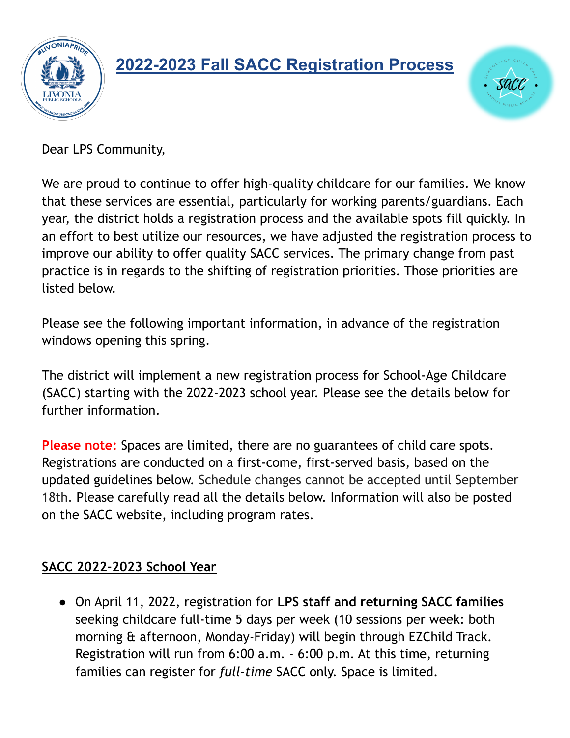

## **2022-2023 Fall SACC Registration Process**



Dear LPS Community,

We are proud to continue to offer high-quality childcare for our families. We know that these services are essential, particularly for working parents/guardians. Each year, the district holds a registration process and the available spots fill quickly. In an effort to best utilize our resources, we have adjusted the registration process to improve our ability to offer quality SACC services. The primary change from past practice is in regards to the shifting of registration priorities. Those priorities are listed below.

Please see the following important information, in advance of the registration windows opening this spring.

The district will implement a new registration process for School-Age Childcare (SACC) starting with the 2022-2023 school year. Please see the details below for further information.

**Please note:** Spaces are limited, there are no guarantees of child care spots. Registrations are conducted on a first-come, first-served basis, based on the updated guidelines below. Schedule changes cannot be accepted until September 18th. Please carefully read all the details below. Information will also be posted on the SACC website, including program rates.

## **SACC 2022-2023 School Year**

● On April 11, 2022, registration for **LPS staff and returning SACC families** seeking childcare full-time 5 days per week (10 sessions per week: both morning & afternoon, Monday-Friday) will begin through EZChild Track. Registration will run from 6:00 a.m. - 6:00 p.m. At this time, returning families can register for *full-time* SACC only. Space is limited.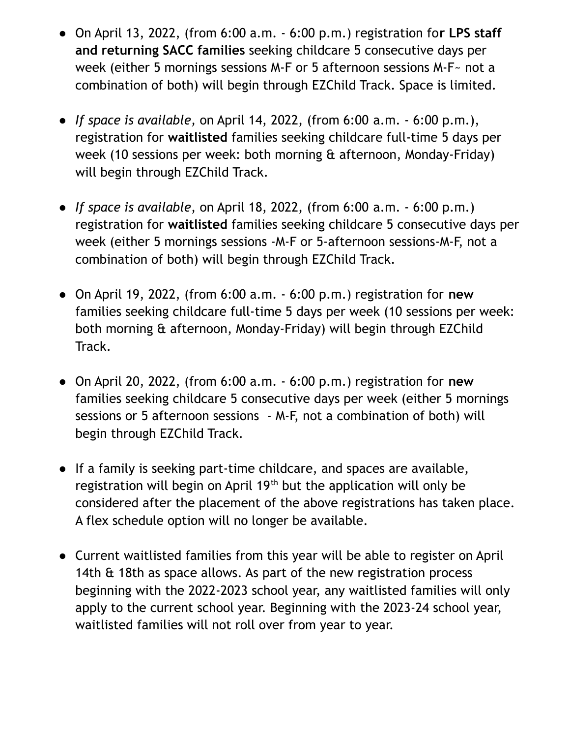- On April 13, 2022, (from 6:00 a.m. 6:00 p.m.) registration fo**r LPS staff and returning SACC families** seeking childcare 5 consecutive days per week (either 5 mornings sessions M-F or 5 afternoon sessions M-F~ not a combination of both) will begin through EZChild Track. Space is limited.
- *If space is available,* on April 14, 2022, (from 6:00 a.m. 6:00 p.m.), registration for **waitlisted** families seeking childcare full-time 5 days per week (10 sessions per week: both morning & afternoon, Monday-Friday) will begin through EZChild Track.
- *If space is available*, on April 18, 2022, (from 6:00 a.m. 6:00 p.m.) registration for **waitlisted** families seeking childcare 5 consecutive days per week (either 5 mornings sessions -M-F or 5-afternoon sessions-M-F, not a combination of both) will begin through EZChild Track.
- On April 19, 2022, (from 6:00 a.m. 6:00 p.m.) registration for **new** families seeking childcare full-time 5 days per week (10 sessions per week: both morning & afternoon, Monday-Friday) will begin through EZChild Track.
- On April 20, 2022, (from 6:00 a.m. 6:00 p.m.) registration for **new** families seeking childcare 5 consecutive days per week (either 5 mornings sessions or 5 afternoon sessions - M-F, not a combination of both) will begin through EZChild Track.
- If a family is seeking part-time childcare, and spaces are available, registration will begin on April 19<sup>th</sup> but the application will only be considered after the placement of the above registrations has taken place. A flex schedule option will no longer be available.
- Current waitlisted families from this year will be able to register on April 14th & 18th as space allows. As part of the new registration process beginning with the 2022-2023 school year, any waitlisted families will only apply to the current school year. Beginning with the 2023-24 school year, waitlisted families will not roll over from year to year.